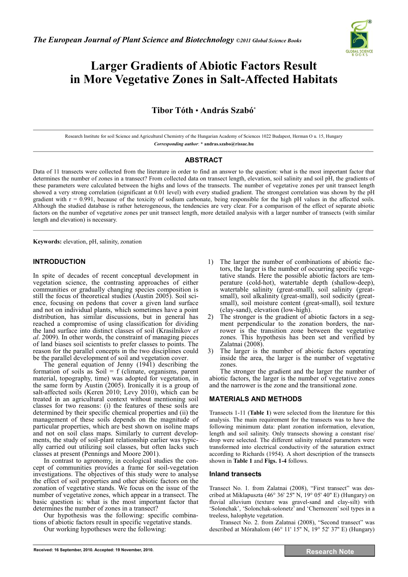

# **Larger Gradients of Abiotic Factors Result in More Vegetative Zones in Salt-Affected Habitats**

# **Tibor Tóth** • **András Szabó\***

Research Institute for soil Science and Agricultural Chemistry of the Hungarian Academy of Sciences 1022 Budapest, Herman O u. 15, Hungary *Corresponding author*: **\* andras.szabo@rissac.hu** 

## **ABSTRACT**

Data of 11 transects were collected from the literature in order to find an answer to the question: what is the most important factor that determines the number of zones in a transect? From collected data on transect length, elevation, soil salinity and soil pH, the gradients of these parameters were calculated between the highs and lows of the transects. The number of vegetative zones per unit transect length showed a very strong correlation (significant at 0.01 level) with every studied gradient. The strongest correlation was shown by the pH gradient with  $r = 0.991$ , because of the toxicity of sodium carbonate, being responsible for the high pH values in the affected soils. Although the studied database is rather heterogeneous, the tendencies are very clear. For a comparison of the effect of separate abiotic factors on the number of vegetative zones per unit transect length, more detailed analysis with a larger number of transects (with similar length and elevation) is necessary.  $\mathcal{L}_\mathcal{L} = \mathcal{L}_\mathcal{L} = \mathcal{L}_\mathcal{L} = \mathcal{L}_\mathcal{L} = \mathcal{L}_\mathcal{L} = \mathcal{L}_\mathcal{L} = \mathcal{L}_\mathcal{L} = \mathcal{L}_\mathcal{L} = \mathcal{L}_\mathcal{L} = \mathcal{L}_\mathcal{L} = \mathcal{L}_\mathcal{L} = \mathcal{L}_\mathcal{L} = \mathcal{L}_\mathcal{L} = \mathcal{L}_\mathcal{L} = \mathcal{L}_\mathcal{L} = \mathcal{L}_\mathcal{L} = \mathcal{L}_\mathcal{L}$ 

**Keywords:** elevation, pH, salinity, zonation

## **INTRODUCTION**

In spite of decades of recent conceptual development in vegetation science, the contrasting approaches of either communities or gradually changing species composition is still the focus of theoretical studies (Austin 2005). Soil science, focusing on pedons that cover a given land surface and not on individual plants, which sometimes have a point distribution, has similar discussions, but in general has reached a compromise of using classification for dividing the land surface into distinct classes of soil (Krasilnikov *et al*. 2009). In other words, the constraint of managing pieces of land biases soil scientists to prefer classes to points. The reason for the parallel concepts in the two disciplines could be the parallel development of soil and vegetation cover.

The general equation of Jenny (1941) describing the formation of soils as Soil =  $f$  (climate, organisms, parent material, topography, time) was adopted for vegetation, in the same form by Austin (2005). Ironically it is a group of salt-affected soils (Keren 2010; Levy 2010), which can be treated in an agricultural context without mentioning soil classes for two reasons: (i) the features of these soils are determined by their specific chemical properties and (ii) the management of these soils depends on the magnitude of particular properties, which are best shown on isoline maps and not on soil class maps. Similarly to current developments, the study of soil-plant relationship earlier was typically carried out utilizing soil classes, but often lacks such classes at present (Pennings and Moore 2001).

In contrast to agronomy, in ecological studies the concept of communities provides a frame for soil-vegetation investigations. The objectives of this study were to analyse the effect of soil properties and other abiotic factors on the zonation of vegetative stands. We focus on the issue of the number of vegetative zones, which appear in a transect. The basic question is: what is the most important factor that determines the number of zones in a transect?

Our hypothesis was the following: specific combinations of abiotic factors result in specific vegetative stands.

Our working hypotheses were the following:

- 1) The larger the number of combinations of abiotic factors, the larger is the number of occurring specific vegetative stands. Here the possible abiotic factors are temperature (cold-hot), watertable depth (shallow-deep), watertable salinity (great-small), soil salinity (greatsmall), soil alkalinity (great-small), soil sodicity (greatsmall), soil moisture content (great-small), soil texture (clay-sand), elevation (low-high).
- 2) The stronger is the gradient of abiotic factors in a segment perpendicular to the zonation borders, the narrower is the transition zone between the vegetative zones. This hypothesis has been set and verified by Zalatnai (2008).
- 3) The larger is the number of abiotic factors operating inside the area, the larger is the number of vegetative zones.

The stronger the gradient and the larger the number of abiotic factors, the larger is the number of vegetative zones and the narrower is the zone and the transitional zone.

#### **MATERIALS AND METHODS**

Transects 1-11 (**Table 1**) were selected from the literature for this analysis. The main requirement for the transects was to have the following minimum data: plant zonation information, elevation, length and soil salinity. Only transects showing a constant rise/ drop were selected. The different salinity related parameters were transformed into electrical conductivity of the saturation extract according to Richards (1954). A short description of the transects shown in **Table 1** and **Figs. 1-4** follows.

#### **Inland transects**

Transect No. 1. from Zalatnai (2008), "First transect" was described at Miklapuszta (46° 36' 25'' N, 19° 05' 40'' E) (Hungary) on fluvial alluvium (texture was gravel-sand and clay-silt) with 'Solonchak', 'Solonchak-solonetz' and 'Chernozem' soil types in a treeless, halophyte vegetation.

Transect No. 2. from Zalatnai (2008), "Second transect" was described at Mórahalom (46° 11' 15'' N, 19° 52' 37'' E) (Hungary)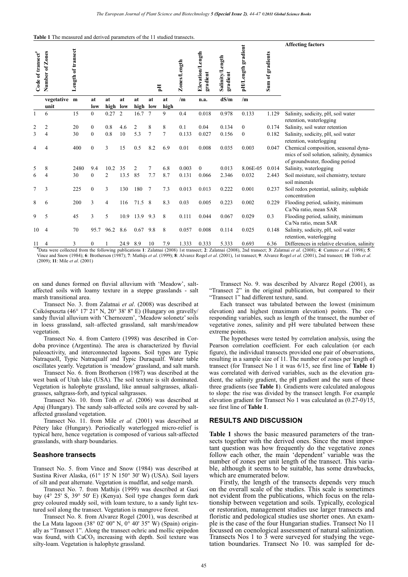|  | <b>Table 1</b> The measured and derived parameters of the 11 studied transects. |
|--|---------------------------------------------------------------------------------|
|--|---------------------------------------------------------------------------------|

| Code of transect <sup>#</sup> | Number of Zones | Length of transect |                       |                |          |                | 핑                      |           | Zones/Length | Elevation/Length<br>gradient | ength<br>Salinity/L<br>gradient | pH/Length gradient | gradients<br>Sum of | <b>Affecting factors</b>                                                                                             |
|-------------------------------|-----------------|--------------------|-----------------------|----------------|----------|----------------|------------------------|-----------|--------------|------------------------------|---------------------------------|--------------------|---------------------|----------------------------------------------------------------------------------------------------------------------|
|                               | vegetative      | m                  | at                    | at             | at       | at             | at                     | at        | /m           | n.a.                         | dS/m                            | /m                 |                     |                                                                                                                      |
| $\mathbf{1}$                  | unit<br>6       | 15                 | low<br>$\overline{0}$ | high<br>0.27   | low<br>2 | high<br>16.7   | low<br>$7\phantom{.0}$ | high<br>9 | 0.4          | 0.018                        | 0.978                           | 0.133              | 1.129               | Salinity, sodicity, pH, soil water<br>retention, waterlogging                                                        |
| 2                             | 2               | 20                 | $\theta$              | 0.8            | 4.6      | $\overline{2}$ | 8                      | 8         | 0.1          | 0.04                         | 0.134                           | $\Omega$           | 0.174               | Salinity, soil water retention                                                                                       |
| 3                             | 4               | 30                 | $\overline{0}$        | 0.8            | 10       | 5.3            | $\overline{7}$         | 7         | 0.133        | 0.027                        | 0.156                           | $\boldsymbol{0}$   | 0.182               | Salinity, sodicity, pH, soil water<br>retention, waterlogging                                                        |
| 4                             | 4               | 400                | $\overline{0}$        | 3              | 15       | 0.5            | 8.2                    | 6.9       | 0.01         | 0.008                        | 0.035                           | 0.003              | 0.047               | Chemical composition, seasonal dyna-<br>mics of soil solution, salinity, dynamics<br>of groundwater, flooding period |
| 5                             | 8               | 2480               | 9.4                   | 10.2           | 35       | 2              | 7                      | 6.8       | 0.003        | $\mathbf{0}$                 | 0.013                           | 8.06E-05           | 0.014               | Salinity, waterlogging                                                                                               |
| 6                             | 4               | 30                 | $\mathbf{0}$          | $\overline{2}$ | 13.5     | 85             | 7.7                    | 8.7       | 0.131        | 0.066                        | 2.346                           | 0.032              | 2.443               | Soil moisture, soil chemistry, texture<br>soil minerals                                                              |
| 7                             | 3               | 225                | $\overline{0}$        | 3              | 130      | 180            | 7                      | 7.3       | 0.013        | 0.013                        | 0.222                           | 0.001              | 0.237               | Soil redox potential, salinity, sulphide<br>concentration                                                            |
| 8                             | 6               | 200                | 3                     | 4              | 116      | 71.5           | 8                      | 8.3       | 0.03         | 0.005                        | 0.223                           | 0.002              | 0.229               | Flooding period, salinity, minimum<br>Ca/Na ratio, mean SAR                                                          |
| 9                             | 5               | 45                 | 3                     | 5              | 10.9     | 13.9           | 9.3                    | 8         | 0.111        | 0.044                        | 0.067                           | 0.029              | 0.3                 | Flooding period, salinity, minimum<br>Ca/Na ratio, mean SAR                                                          |
| 10                            | 4               | 70                 | 95.7                  | 96.2           | 8.6      | 0.67           | 9.8                    | 8         | 0.057        | 0.008                        | 0.114                           | 0.025              | 0.148               | Salinity, sodicity, pH, soil water<br>retention, waterlogging                                                        |
| 11                            | 4               | 3                  | 0                     |                | 24.9     | 8.9            | 10                     | 7.9       | 1.333        | 0.333                        | 5.333                           | 0.693              | 6.36                | Differences in relative elevation, salinity                                                                          |

<sup>#</sup>Data were collected from the following publications 1: Zalatnai (2008) 1st transect; 2: Zalatnai (2008), 2nd transect; 3: Zalatnai et al. (2008); 4: Cantero et al. (1998); 5: Vince and Snow (1984); 6: Brotherson (1987); 7: Mathijs et al. (1999); 8: Alvarez Rogel et al. (2001), 1st transect; 9: Alvarez Rogel et al. (2001), 2nd transect; 10: Tóth et al. (2009); **11**: Mile *et al*. (2001)

on sand dunes formed on fluvial alluvium with 'Meadow', saltaffected soils with loamy texture in a steppe grasslands - salt marsh transitional area.

Transect No. 3. from Zalatnai *et al*. (2008) was described at Csikóspuszta (46° 17' 21'' N, 20° 38' 8'' E) (Hungary on gravelly/ sandy fluvial alluvium with 'Chernozem', 'Meadow solonetz' soils in loess grassland, salt–affected grassland, salt marsh/meadow vegetation.

Transect No. 4. from Cantero (1998) was described in Cordoba province (Argentina). The area is characterized by fluvial paleoactivity, and interconnected lagoons. Soil types are Typic Natraquoll, Typic Natraqualf and Typic Duraqualf. Water table oscillates yearly. Vegetation is 'meadow' grassland, and salt marsh.

Transect No. 6. from Brotherson (1987) was described at the west bank of Utah lake (USA). The soil texture is silt dominated. Vegetation is halophyte grassland, like annual saltgrasses, alkaligrasses, saltgrass-forb, and typical saltgrasses.

Transect No. 10. from Tóth *et al*. (2006) was described at Apaj (Hungary). The sandy salt-affected soils are covered by saltaffected grassland vegetation.

Transect No. 11. from Mile *et al.* (2001) was described at Pétery lake (Hungary). Periodically waterlogged micro-relief is typical here, hence vegetation is composed of various salt-affected grasslands, with sharp boundaries.

#### **Seashore transects**

Transect No. 5. from Vince and Snow (1984) was described at Sustina River Alaska, (61° 15' N 150° 30' W) (USA). Soil layers of silt and peat alternate. Vegetation is mudflat, and sedge marsh.

Transect No. 7. from Mathijs (1999) was described at Gazi bay (4° 25' S, 39° 50' E) (Kenya). Soil type changes form dark grey coloured muddy soil, with loam texture, to a sandy light textured soil along the transect. Vegetation is mangrove forest.

Transect No. 8. from Alvarez Rogel (2001), was described at the La Mata lagoon (38° 02' 00" N, 0° 40' 35" W) (Spain) originally as "Transect 1". Along the transect ochric and mollic epipedon was found, with  $CaCO<sub>3</sub>$  increasing with depth. Soil texture was silty-loam. Vegetation is halophyte grassland.

Transect No. 9. was described by Alvarez Rogel (2001), as "Transect 2" in the original publication, but compared to their "Transect 1" had different texture, sand.

Each transect was tabulated between the lowest (minimum elevation) and highest (maximum elevation) points. The corresponding variables, such as length of the transect, the number of vegetative zones, salinity and pH were tabulated between these extreme points.

The hypotheses were tested by correlation analysis, using the Pearson correlation coefficient. For each calculation (or each figure), the individual transects provided one pair of observations, resulting in a sample size of 11. The number of zones per length of transect (for Transect No 1 it was 6/15, see first line of **Table 1**) was correlated with derived variables, such as the elevation gradient, the salinity gradient, the pH gradient and the sum of these three gradients (see **Table 1**). Gradients were calculated analogous to slope: the rise was divided by the transect length. For example elevation gradient for Transect No 1 was calculated as (0.27-0)/15, see first line of **Table 1**.

#### **RESULTS AND DISCUSSION**

**Table 1** shows the basic measured parameters of the transects together with the derived ones. Since the most important question was how frequently do the vegetative zones follow each other, the main 'dependent' variable was the number of zones per unit length of the transect. This variable, although it seems to be suitable, has some drawbacks, which are enumerated below.

Firstly, the length of the transects depends very much on the overall scale of the studies. This scale is sometimes not evident from the publications, which focus on the relationship between vegetation and soils. Typically, ecological or restoration, management studies use larger transects and floristic and pedological studies use shorter ones. An example is the case of the four Hungarian studies. Transect No 11 focussed on coenological assessment of natural salinization. Transects Nos 1 to  $\overline{3}$  were surveyed for studying the vegetation boundaries. Transect No 10. was sampled for de-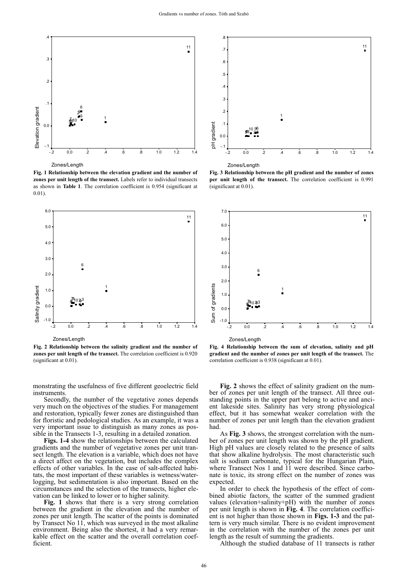

Zones/Length

**Fig. 1 Relationship between the elevation gradient and the number of zones per unit length of the transect.** Labels refer to individual transects as shown in **Table 1**. The correlation coefficient is 0.954 (significant at 0.01).



Zones/Length

**Fig. 2 Relationship between the salinity gradient and the number of zones per unit length of the transect.** The correlation coefficient is 0.920 (significant at 0.01).

monstrating the usefulness of five different geoelectric field instruments.

Secondly, the number of the vegetative zones depends very much on the objectives of the studies. For management and restoration, typically fewer zones are distinguished than for floristic and pedological studies. As an example, it was a very important issue to distinguish as many zones as possible in the Transects 1-3, resulting in a detailed zonation.

**Figs. 1-4** show the relationships between the calculated gradients and the number of vegetative zones per unit transect length. The elevation is a variable, which does not have a direct affect on the vegetation, but includes the complex effects of other variables. In the case of salt-affected habitats, the most important of these variables is wetness/waterlogging, but sedimentation is also important. Based on the circumstances and the selection of the transects, higher elevation can be linked to lower or to higher salinity.

**Fig. 1** shows that there is a very strong correlation between the gradient in the elevation and the number of zones per unit length. The scatter of the points is dominated by Transect No 11, which was surveyed in the most alkaline environment. Being also the shortest, it had a very remarkable effect on the scatter and the overall correlation coefficient.



Zones/Length

**Fig. 3 Relationship between the pH gradient and the number of zones per unit length of the transect.** The correlation coefficient is 0.991 (significant at 0.01).





**Fig. 4 Relationship between the sum of elevation, salinity and pH gradient and the number of zones per unit length of the transect.** The correlation coefficient is 0.938 (significant at 0.01).

**Fig. 2** shows the effect of salinity gradient on the number of zones per unit length of the transect. All three outstanding points in the upper part belong to active and ancient lakeside sites. Salinity has very strong physiological effect, but it has somewhat weaker correlation with the number of zones per unit length than the elevation gradient had.

As **Fig. 3** shows, the strongest correlation with the number of zones per unit length was shown by the pH gradient. High pH values are closely related to the presence of salts that show alkaline hydrolysis. The most characteristic such salt is sodium carbonate, typical for the Hungarian Plain, where Transect Nos 1 and 11 were described. Since carbonate is toxic, its strong effect on the number of zones was expected.

In order to check the hypothesis of the effect of combined abiotic factors, the scatter of the summed gradient values (elevation+salinity+pH) with the number of zones per unit length is shown in **Fig. 4**. The correlation coefficient is not higher than those shown in **Figs. 1-3** and the pattern is very much similar. There is no evident improvement in the correlation with the number of the zones per unit length as the result of summing the gradients.

Although the studied database of 11 transects is rather